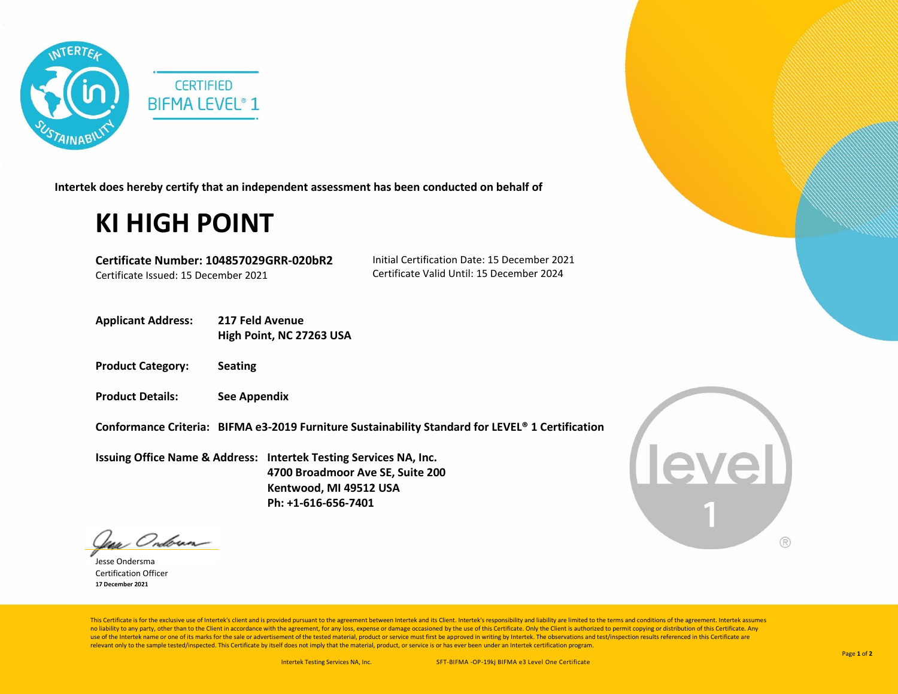

**Intertek does hereby certify that an independent assessment has been conducted on behalf of**

## **KI HIGH POINT**

**Certificate Number: 104857029GRR-020bR2** Certificate Issued: 15 December 2021

Initial Certification Date: 15 December 2021 Certificate Valid Until: 15 December 2024

- **Applicant Address: 217 Feld Avenue High Point, NC 27263 USA**
- **Product Category: Seating**
- **Product Details: See Appendix**

**Conformance Criteria: BIFMA e3-2019 Furniture Sustainability Standard for LEVEL® 1 Certification** 

**Issuing Office Name & Address: Intertek Testing Services NA, Inc. 4700 Broadmoor Ave SE, Suite 200 Kentwood, MI 49512 USA Ph: +1-616-656-7401**



Year Ondown-

Jesse Ondersma Certification Officer **17 December 2021** 

This Certificate is for the exclusive use of Intertek's client and is provided pursuant to the agreement between Intertek and its Client. Intertek's responsibility and liability are limited to the terms and conditions of t no liability to any party, other than to the Client in accordance with the agreement, for any loss, expense or damage occasioned by the use of this Certificate. Only the Client is authorized to permit copying or distributi use of the Intertek name or one of its marks for the sale or advertisement of the tested material, product or service must first be approved in writing by Intertek. The observations and test/inspection results referenced i relevant only to the sample tested/inspected. This Certificate by itself does not imply that the material, product, or service is or has ever been under an Intertek certification program.